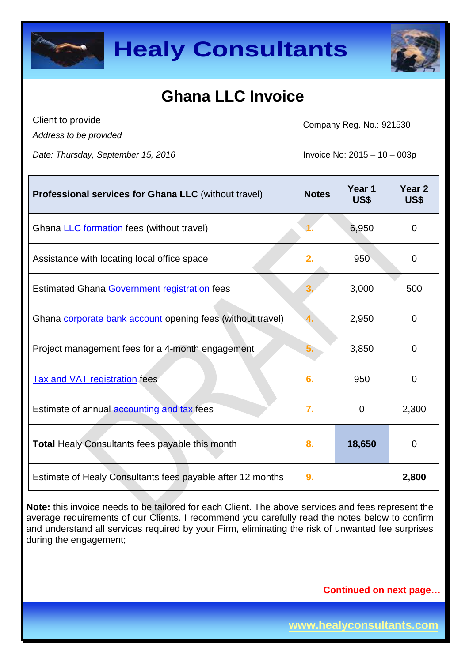



Client to provide *Address to be provided*

Company Reg. No.: 921530

*Date: Thursday, September 15, 2016* Invoice No: 2015 – 10 – 003p

| <b>Professional services for Ghana LLC</b> (without travel) | <b>Notes</b> | Year 1<br>US\$ | Year <sub>2</sub><br>US\$ |
|-------------------------------------------------------------|--------------|----------------|---------------------------|
| Ghana <b>LLC</b> formation fees (without travel)            |              | 6,950          | 0                         |
| Assistance with locating local office space                 | 2.           | 950            | 0                         |
| Estimated Ghana Government registration fees                |              | 3,000          | 500                       |
| Ghana corporate bank account opening fees (without travel)  | 4.           | 2,950          | 0                         |
| Project management fees for a 4-month engagement            | ხ.           | 3,850          | 0                         |
| <b>Tax and VAT registration fees</b>                        | 6.           | 950            | $\mathbf 0$               |
| Estimate of annual <b>accounting and tax</b> fees           | 7.           | 0              | 2,300                     |
| <b>Total Healy Consultants fees payable this month</b>      | 8.           | 18,650         | 0                         |
| Estimate of Healy Consultants fees payable after 12 months  | 9.           |                | 2,800                     |

**Note:** this invoice needs to be tailored for each Client. The above services and fees represent the average requirements of our Clients. I recommend you carefully read the notes below to confirm and understand all services required by your Firm, eliminating the risk of unwanted fee surprises during the engagement;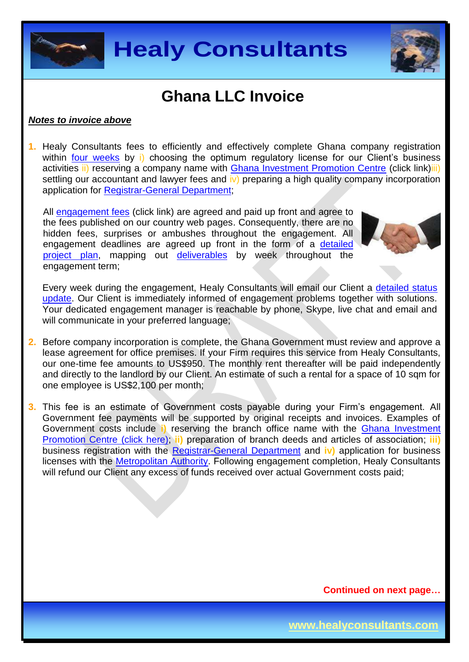



#### *Notes to invoice above*

**1.** Healy Consultants fees to efficiently and effectively complete Ghana company registration within [four weeks](http://www.healyconsultants.com/ghana-company-registration/fees-timelines/#timelines) by i) choosing the optimum regulatory license for our Client's business activities ii) reserving a company name with [Ghana Investment Promotion Centre](http://www.gipcghana.com/) (click link)iii) settling our accountant and lawyer fees and iv) preparing a high quality company incorporation application for [Registrar-General Department;](http://www.rgd.gov.gh/)

All [engagement fees](http://www.healyconsultants.com/company-registration-fees/) (click link) are agreed and paid up front and agree to the fees published on our country web pages. Consequently, there are no hidden fees, surprises or ambushes throughout the engagement. All engagement deadlines are agreed up front in the form of a [detailed](http://www.healyconsultants.com/index-important-links/example-project-plan/)  [project plan,](http://www.healyconsultants.com/index-important-links/example-project-plan/) mapping out [deliverables](http://www.healyconsultants.com/deliverables-to-our-clients/) by week throughout the engagement term;



Every week during the engagement, Healy Consultants will email our Client a [detailed status](http://www.healyconsultants.com/index-important-links/weekly-engagement-status-email/)  [update.](http://www.healyconsultants.com/index-important-links/weekly-engagement-status-email/) Our Client is immediately informed of engagement problems together with solutions. Your dedicated engagement manager is reachable by phone, Skype, live chat and email and will communicate in your preferred language;

- **2.** Before company incorporation is complete, the Ghana Government must review and approve a lease agreement for office premises. If your Firm requires this service from Healy Consultants, our one-time fee amounts to US\$950. The monthly rent thereafter will be paid independently and directly to the landlord by our Client. An estimate of such a rental for a space of 10 sqm for one employee is US\$2,100 per month;
- **3.** This fee is an estimate of Government costs payable during your Firm's engagement. All Government fee payments will be supported by original receipts and invoices. Examples of Government costs include **i)** reserving the branch office name with the [Ghana Investment](http://www.gipcghana.com/)  [Promotion Centre \(click here\);](http://www.gipcghana.com/) **ii)** preparation of branch deeds and articles of association; **iii)** business registration with the [Registrar-General Department](http://www.rgd.gov.gh/) and **iv)** application for business licenses with the [Metropolitan Authority.](http://www.ama.gov.gh/) Following engagement completion, Healy Consultants will refund our Client any excess of funds received over actual Government costs paid;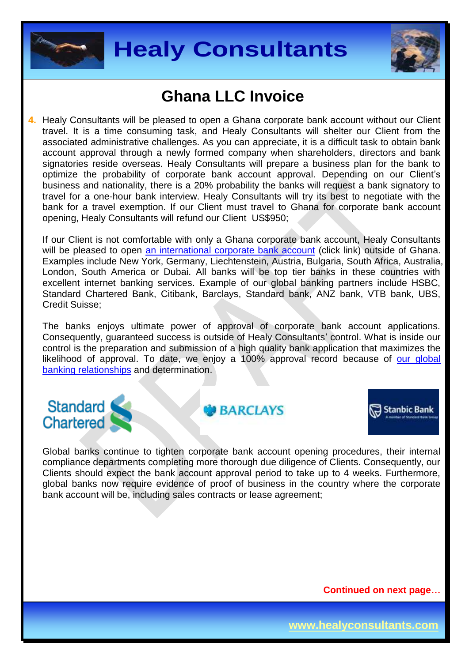



**4.** Healy Consultants will be pleased to open a Ghana corporate bank account without our Client travel. It is a time consuming task, and Healy Consultants will shelter our Client from the associated administrative challenges. As you can appreciate, it is a difficult task to obtain bank account approval through a newly formed company when shareholders, directors and bank signatories reside overseas. Healy Consultants will prepare a business plan for the bank to optimize the probability of corporate bank account approval. Depending on our Client's business and nationality, there is a 20% probability the banks will request a bank signatory to travel for a one-hour bank interview. Healy Consultants will try its best to negotiate with the bank for a travel exemption. If our Client must travel to Ghana for corporate bank account opening, Healy Consultants will refund our Client US\$950;

If our Client is not comfortable with only a Ghana corporate bank account, Healy Consultants will be pleased to open [an international corporate bank account](http://www.healyconsultants.com/international-banking/) (click link) outside of Ghana. Examples include New York, Germany, Liechtenstein, Austria, Bulgaria, South Africa, Australia, London, South America or Dubai. All banks will be top tier banks in these countries with excellent internet banking services. Example of our global banking partners include HSBC, Standard Chartered Bank, Citibank, Barclays, Standard bank, ANZ bank, VTB bank, UBS, Credit Suisse;

The banks enjoys ultimate power of approval of corporate bank account applications. Consequently, guaranteed success is outside of Healy Consultants' control. What is inside our control is the preparation and submission of a high quality bank application that maximizes the likelihood of approval. To date, we enjoy a 100% approval record because of our global [banking relationships](http://www.healyconsultants.com/international-banking/corporate-accounts/) and determination.

#### Standard **Chartered**

**GO BARCIAYS** 



Global banks continue to tighten corporate bank account opening procedures, their internal compliance departments completing more thorough due diligence of Clients. Consequently, our Clients should expect the bank account approval period to take up to 4 weeks. Furthermore, global banks now require evidence of proof of business in the country where the corporate bank account will be, including sales contracts or lease agreement;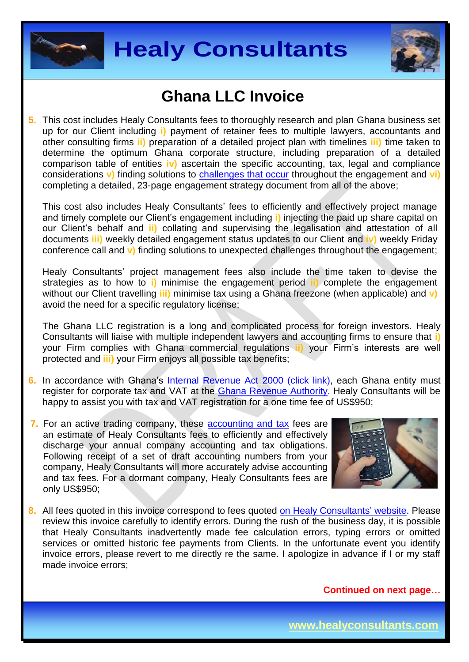



**5.** This cost includes Healy Consultants fees to thoroughly research and plan Ghana business set up for our Client including **i)** payment of retainer fees to multiple lawyers, accountants and other consulting firms **ii)** preparation of a detailed project plan with timelines **iii)** time taken to determine the optimum Ghana corporate structure, including preparation of a detailed comparison table of entities **iv)** ascertain the specific accounting, tax, legal and compliance considerations **v**) finding solutions to **challenges that occur** throughout the engagement and **vi**) completing a detailed, 23-page engagement strategy document from all of the above;

This cost also includes Healy Consultants' fees to efficiently and effectively project manage and timely complete our Client's engagement including **i)** injecting the paid up share capital on our Client's behalf and **ii)** collating and supervising the legalisation and attestation of all documents **iii)** weekly detailed engagement status updates to our Client and **iv)** weekly Friday conference call and **v)** finding solutions to unexpected challenges throughout the engagement;

Healy Consultants' project management fees also include the time taken to devise the strategies as to how to **i)** minimise the engagement period **ii)** complete the engagement without our Client travelling **iii)** minimise tax using a Ghana freezone (when applicable) and **v)** avoid the need for a specific regulatory license;

The Ghana LLC registration is a long and complicated process for foreign investors. Healy Consultants will liaise with multiple independent lawyers and accounting firms to ensure that **i)** your Firm complies with Ghana commercial regulations **ii)** your Firm's interests are well protected and **iii)** your Firm enjoys all possible tax benefits;

- **6.** In accordance with Ghana's [Internal Revenue Act 2000 \(click link\),](http://www.gra.gov.gh/docs/info/irs_act.pdf) each Ghana entity must register for corporate tax and VAT at the [Ghana Revenue Authority.](http://www.gra.gov.gh/) Healy Consultants will be happy to assist you with tax and VAT registration for a one time fee of US\$950;
- **7.** For an active trading company, these **accounting and tax** fees are an estimate of Healy Consultants fees to efficiently and effectively discharge your annual company accounting and tax obligations. Following receipt of a set of draft accounting numbers from your company, Healy Consultants will more accurately advise accounting and tax fees. For a dormant company, Healy Consultants fees are only US\$950;



**8.** All fees quoted in this invoice correspond to fees quoted [on Healy Consultants'](http://www.healyconsultants.com/company-registration-fees/) website. Please review this invoice carefully to identify errors. During the rush of the business day, it is possible that Healy Consultants inadvertently made fee calculation errors, typing errors or omitted services or omitted historic fee payments from Clients. In the unfortunate event you identify invoice errors, please revert to me directly re the same. I apologize in advance if I or my staff made invoice errors;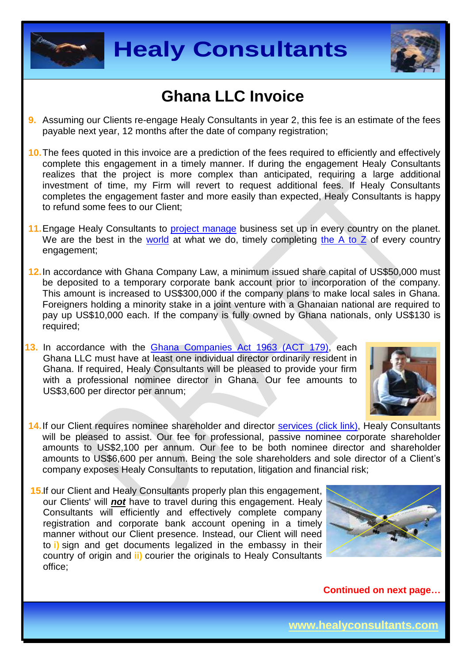



- **9.** Assuming our Clients re-engage Healy Consultants in year 2, this fee is an estimate of the fees payable next year, 12 months after the date of company registration;
- **10.**The fees quoted in this invoice are a prediction of the fees required to efficiently and effectively complete this engagement in a timely manner. If during the engagement Healy Consultants realizes that the project is more complex than anticipated, requiring a large additional investment of time, my Firm will revert to request additional fees. If Healy Consultants completes the engagement faster and more easily than expected, Healy Consultants is happy to refund some fees to our Client;
- 11. Engage Healy Consultants to [project manage](http://www.healyconsultants.com/project-manage-engagements/) business set up in every country on the planet. We are the best in the [world](http://www.healyconsultants.com/best-in-the-world/) at what we do, timely completing the  $A$  to  $Z$  of every country engagement;
- **12.**In accordance with Ghana Company Law, a minimum issued share capital of US\$50,000 must be deposited to a temporary corporate bank account prior to incorporation of the company. This amount is increased to US\$300,000 if the company plans to make local sales in Ghana. Foreigners holding a minority stake in a joint venture with a Ghanaian national are required to pay up US\$10,000 each. If the company is fully owned by Ghana nationals, only US\$130 is required;
- **13.** In accordance with the [Ghana Companies Act 1963 \(ACT 179\),](http://glorylawfirm.com/wp-content/uploads/2013/10/COMPANIES-ACT-1963-Act-179.pdf) each Ghana LLC must have at least one individual director ordinarily resident in Ghana. If required, Healy Consultants will be pleased to provide your firm with a professional nominee director in Ghana. Our fee amounts to US\$3,600 per director per annum;



- 14. If our Client requires nominee shareholder and director services [\(click link\),](http://www.healyconsultants.com/corporate-outsourcing-services/nominee-shareholders-directors/) Healy Consultants will be pleased to assist. Our fee for professional, passive nominee corporate shareholder amounts to US\$2,100 per annum. Our fee to be both nominee director and shareholder amounts to US\$6,600 per annum. Being the sole shareholders and sole director of a Client's company exposes Healy Consultants to reputation, litigation and financial risk;
- **15.**If our Client and Healy Consultants properly plan this engagement, our Clients' will *not* have to travel during this engagement. Healy Consultants will efficiently and effectively complete company registration and corporate bank account opening in a timely manner without our Client presence. Instead, our Client will need to **i)** sign and get documents legalized in the embassy in their country of origin and **ii)** courier the originals to Healy Consultants office;

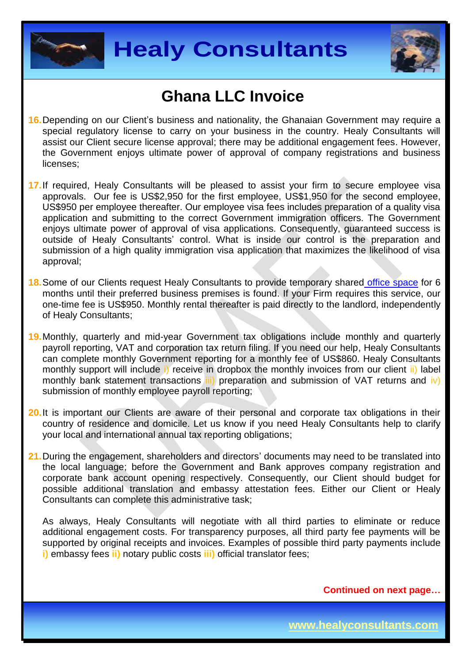



- **16.**Depending on our Client's business and nationality, the Ghanaian Government may require a special regulatory license to carry on your business in the country. Healy Consultants will assist our Client secure license approval; there may be additional engagement fees. However, the Government enjoys ultimate power of approval of company registrations and business licenses;
- **17.**If required, Healy Consultants will be pleased to assist your firm to secure employee visa approvals. Our fee is US\$2,950 for the first employee, US\$1,950 for the second employee, US\$950 per employee thereafter. Our employee visa fees includes preparation of a quality visa application and submitting to the correct Government immigration officers. The Government enjoys ultimate power of approval of visa applications. Consequently, guaranteed success is outside of Healy Consultants' control. What is inside our control is the preparation and submission of a high quality immigration visa application that maximizes the likelihood of visa approval;
- **18.**Some of our Clients request Healy Consultants to provide temporary shared [office space](http://www.healyconsultants.com/virtual-office/) for 6 months until their preferred business premises is found. If your Firm requires this service, our one-time fee is US\$950. Monthly rental thereafter is paid directly to the landlord, independently of Healy Consultants;
- **19.**Monthly, quarterly and mid-year Government tax obligations include monthly and quarterly payroll reporting, VAT and corporation tax return filing. If you need our help, Healy Consultants can complete monthly Government reporting for a monthly fee of US\$860. Healy Consultants monthly support will include i) receive in dropbox the monthly invoices from our client ii) label monthly bank statement transactions  $\overline{iii}$  preparation and submission of VAT returns and  $\overline{iv}$ ) submission of monthly employee payroll reporting;
- **20.**It is important our Clients are aware of their personal and corporate tax obligations in their country of residence and domicile. Let us know if you need Healy Consultants help to clarify your local and international annual tax reporting obligations;
- **21.**During the engagement, shareholders and directors' documents may need to be translated into the local language; before the Government and Bank approves company registration and corporate bank account opening respectively. Consequently, our Client should budget for possible additional translation and embassy attestation fees. Either our Client or Healy Consultants can complete this administrative task;

As always, Healy Consultants will negotiate with all third parties to eliminate or reduce additional engagement costs. For transparency purposes, all third party fee payments will be supported by original receipts and invoices. Examples of possible third party payments include **i)** embassy fees **ii)** notary public costs **iii)** official translator fees;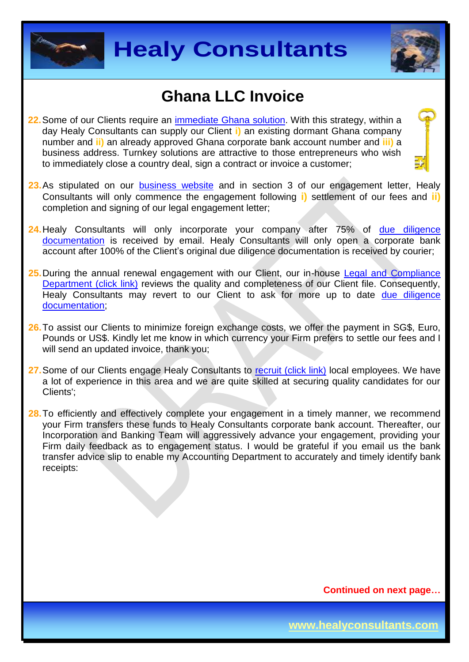



- **22.**Some of our Clients require an [immediate Ghana](http://www.healyconsultants.com/turnkey-solutions/) solution. With this strategy, within a day Healy Consultants can supply our Client **i)** an existing dormant Ghana company number and **ii)** an already approved Ghana corporate bank account number and **iii)** a business address. Turnkey solutions are attractive to those entrepreneurs who wish to immediately close a country deal, sign a contract or invoice a customer;
- 23.As stipulated on our [business website](http://www.healyconsultants.com/) and in section 3 of our engagement letter, Healy Consultants will only commence the engagement following **i)** settlement of our fees and **ii)** completion and signing of our legal engagement letter;
- **24.**Healy Consultants will only incorporate your company after 75% of [due diligence](http://www.healyconsultants.com/due-diligence/)  [documentation](http://www.healyconsultants.com/due-diligence/) is received by email. Healy Consultants will only open a corporate bank account after 100% of the Client's original due diligence documentation is received by courier;
- **25.**During the annual renewal engagement with our Client, our in-house [Legal and Compliance](http://www.healyconsultants.com/about-us/key-personnel/cai-xin-profile/)  [Department \(click link\)](http://www.healyconsultants.com/about-us/key-personnel/cai-xin-profile/) reviews the quality and completeness of our Client file. Consequently, Healy Consultants may revert to our Client to ask for more up to date due diligence [documentation;](http://www.healyconsultants.com/due-diligence/)
- **26.**To assist our Clients to minimize foreign exchange costs, we offer the payment in SG\$, Euro, Pounds or US\$. Kindly let me know in which currency your Firm prefers to settle our fees and I will send an updated invoice, thank you;
- 27. Some of our Clients engage Healy Consultants to [recruit \(click link\)](http://www.healyconsultants.com/corporate-outsourcing-services/how-we-help-our-clients-recruit-quality-employees/) local employees. We have a lot of experience in this area and we are quite skilled at securing quality candidates for our Clients';
- 28. To efficiently and effectively complete your engagement in a timely manner, we recommend your Firm transfers these funds to Healy Consultants corporate bank account. Thereafter, our Incorporation and Banking Team will aggressively advance your engagement, providing your Firm daily feedback as to engagement status. I would be grateful if you email us the bank transfer advice slip to enable my Accounting Department to accurately and timely identify bank receipts: